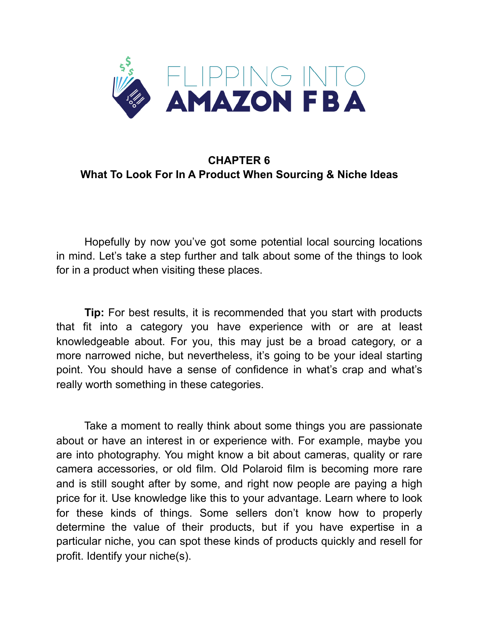

## **CHAPTER 6 What To Look For In A Product When Sourcing & Niche Ideas**

 Hopefully by now you've got some potential local sourcing locations in mind. Let's take a step further and talk about some of the things to look for in a product when visiting these places.

**Tip:** For best results, it is recommended that you start with products that fit into a category you have experience with or are at least knowledgeable about. For you, this may just be a broad category, or a more narrowed niche, but nevertheless, it's going to be your ideal starting point. You should have a sense of confidence in what's crap and what's really worth something in these categories.

 Take a moment to really think about some things you are passionate about or have an interest in or experience with. For example, maybe you are into photography. You might know a bit about cameras, quality or rare camera accessories, or old film. Old Polaroid film is becoming more rare and is still sought after by some, and right now people are paying a high price for it. Use knowledge like this to your advantage. Learn where to look for these kinds of things. Some sellers don't know how to properly determine the value of their products, but if you have expertise in a particular niche, you can spot these kinds of products quickly and resell for profit. Identify your niche(s).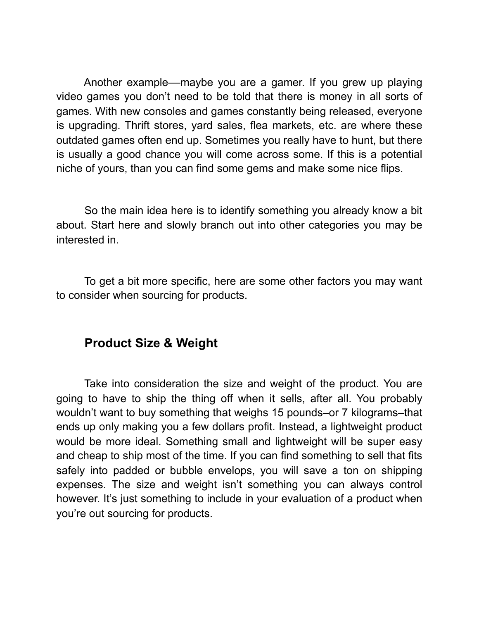Another example––maybe you are a gamer. If you grew up playing video games you don't need to be told that there is money in all sorts of games. With new consoles and games constantly being released, everyone is upgrading. Thrift stores, yard sales, flea markets, etc. are where these outdated games often end up. Sometimes you really have to hunt, but there is usually a good chance you will come across some. If this is a potential niche of yours, than you can find some gems and make some nice flips.

 So the main idea here is to identify something you already know a bit about. Start here and slowly branch out into other categories you may be interested in.

 To get a bit more specific, here are some other factors you may want to consider when sourcing for products.

### **Product Size & Weight**

 Take into consideration the size and weight of the product. You are going to have to ship the thing off when it sells, after all. You probably wouldn't want to buy something that weighs 15 pounds–or 7 kilograms–that ends up only making you a few dollars profit. Instead, a lightweight product would be more ideal. Something small and lightweight will be super easy and cheap to ship most of the time. If you can find something to sell that fits safely into padded or bubble envelops, you will save a ton on shipping expenses. The size and weight isn't something you can always control however. It's just something to include in your evaluation of a product when you're out sourcing for products.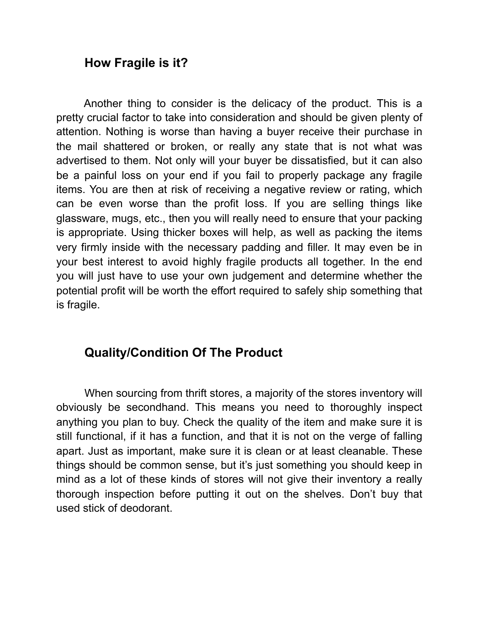### **How Fragile is it?**

 Another thing to consider is the delicacy of the product. This is a pretty crucial factor to take into consideration and should be given plenty of attention. Nothing is worse than having a buyer receive their purchase in the mail shattered or broken, or really any state that is not what was advertised to them. Not only will your buyer be dissatisfied, but it can also be a painful loss on your end if you fail to properly package any fragile items. You are then at risk of receiving a negative review or rating, which can be even worse than the profit loss. If you are selling things like glassware, mugs, etc., then you will really need to ensure that your packing is appropriate. Using thicker boxes will help, as well as packing the items very firmly inside with the necessary padding and filler. It may even be in your best interest to avoid highly fragile products all together. In the end you will just have to use your own judgement and determine whether the potential profit will be worth the effort required to safely ship something that is fragile.

# **Quality/Condition Of The Product**

 When sourcing from thrift stores, a majority of the stores inventory will obviously be secondhand. This means you need to thoroughly inspect anything you plan to buy. Check the quality of the item and make sure it is still functional, if it has a function, and that it is not on the verge of falling apart. Just as important, make sure it is clean or at least cleanable. These things should be common sense, but it's just something you should keep in mind as a lot of these kinds of stores will not give their inventory a really thorough inspection before putting it out on the shelves. Don't buy that used stick of deodorant.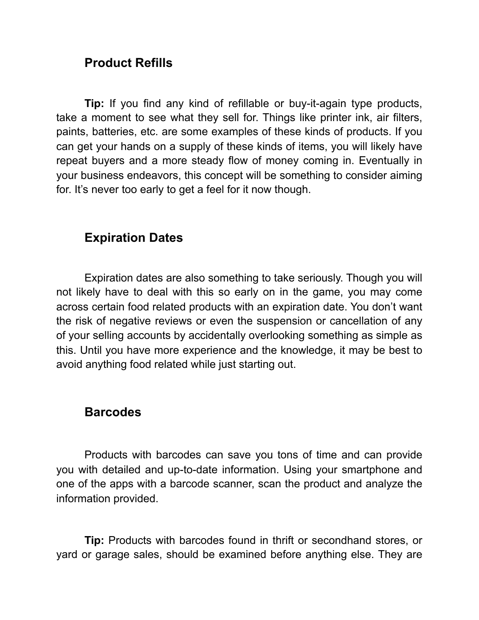# **Product Refills**

**Tip:** If you find any kind of refillable or buy-it-again type products, take a moment to see what they sell for. Things like printer ink, air filters, paints, batteries, etc. are some examples of these kinds of products. If you can get your hands on a supply of these kinds of items, you will likely have repeat buyers and a more steady flow of money coming in. Eventually in your business endeavors, this concept will be something to consider aiming for. It's never too early to get a feel for it now though.

# **Expiration Dates**

 Expiration dates are also something to take seriously. Though you will not likely have to deal with this so early on in the game, you may come across certain food related products with an expiration date. You don't want the risk of negative reviews or even the suspension or cancellation of any of your selling accounts by accidentally overlooking something as simple as this. Until you have more experience and the knowledge, it may be best to avoid anything food related while just starting out.

### **Barcodes**

 Products with barcodes can save you tons of time and can provide you with detailed and up-to-date information. Using your smartphone and one of the apps with a barcode scanner, scan the product and analyze the information provided.

**Tip:** Products with barcodes found in thrift or secondhand stores, or yard or garage sales, should be examined before anything else. They are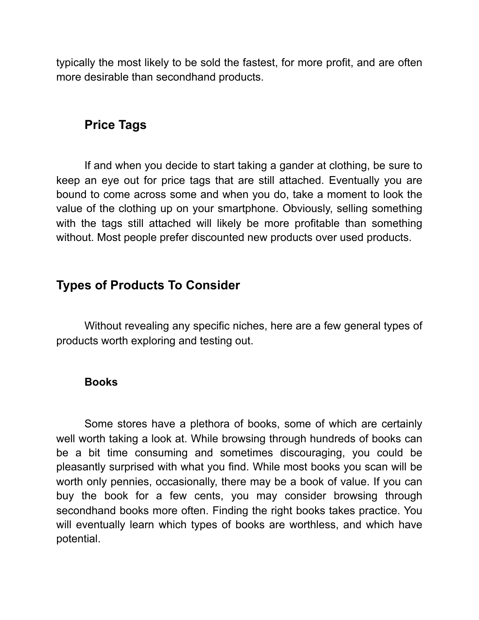typically the most likely to be sold the fastest, for more profit, and are often more desirable than secondhand products.

## **Price Tags**

 If and when you decide to start taking a gander at clothing, be sure to keep an eye out for price tags that are still attached. Eventually you are bound to come across some and when you do, take a moment to look the value of the clothing up on your smartphone. Obviously, selling something with the tags still attached will likely be more profitable than something without. Most people prefer discounted new products over used products.

## **Types of Products To Consider**

Without revealing any specific niches, here are a few general types of products worth exploring and testing out.

#### **Books**

 Some stores have a plethora of books, some of which are certainly well worth taking a look at. While browsing through hundreds of books can be a bit time consuming and sometimes discouraging, you could be pleasantly surprised with what you find. While most books you scan will be worth only pennies, occasionally, there may be a book of value. If you can buy the book for a few cents, you may consider browsing through secondhand books more often. Finding the right books takes practice. You will eventually learn which types of books are worthless, and which have potential.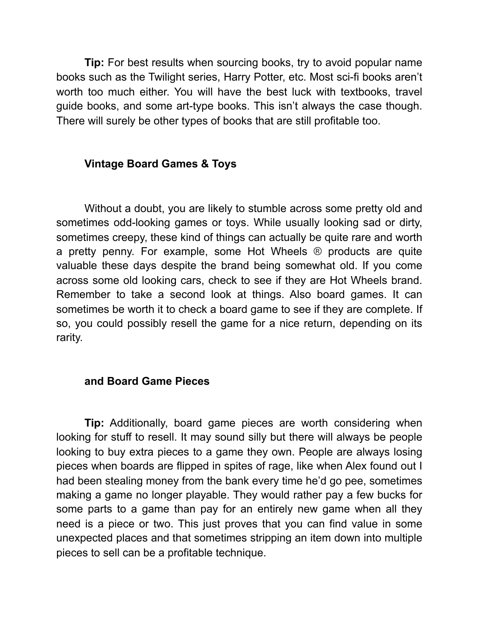**Tip:** For best results when sourcing books, try to avoid popular name books such as the Twilight series, Harry Potter, etc. Most sci-fi books aren't worth too much either. You will have the best luck with textbooks, travel guide books, and some art-type books. This isn't always the case though. There will surely be other types of books that are still profitable too.

#### **Vintage Board Games & Toys**

 Without a doubt, you are likely to stumble across some pretty old and sometimes odd-looking games or toys. While usually looking sad or dirty, sometimes creepy, these kind of things can actually be quite rare and worth a pretty penny. For example, some Hot Wheels ® products are quite valuable these days despite the brand being somewhat old. If you come across some old looking cars, check to see if they are Hot Wheels brand. Remember to take a second look at things. Also board games. It can sometimes be worth it to check a board game to see if they are complete. If so, you could possibly resell the game for a nice return, depending on its rarity.

#### **and Board Game Pieces**

**Tip:** Additionally, board game pieces are worth considering when looking for stuff to resell. It may sound silly but there will always be people looking to buy extra pieces to a game they own. People are always losing pieces when boards are flipped in spites of rage, like when Alex found out I had been stealing money from the bank every time he'd go pee, sometimes making a game no longer playable. They would rather pay a few bucks for some parts to a game than pay for an entirely new game when all they need is a piece or two. This just proves that you can find value in some unexpected places and that sometimes stripping an item down into multiple pieces to sell can be a profitable technique.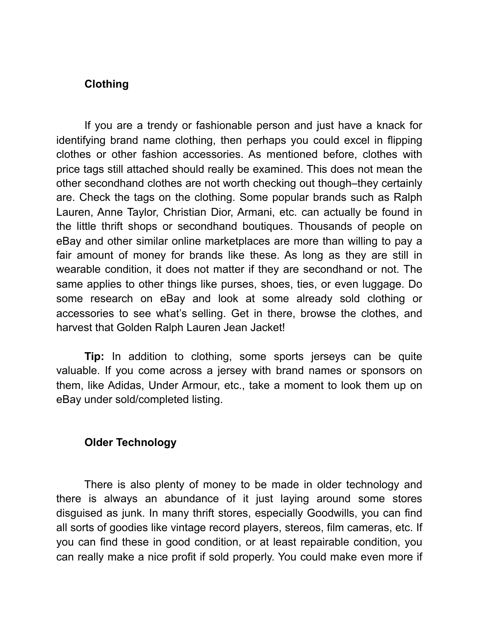#### **Clothing**

 If you are a trendy or fashionable person and just have a knack for identifying brand name clothing, then perhaps you could excel in flipping clothes or other fashion accessories. As mentioned before, clothes with price tags still attached should really be examined. This does not mean the other secondhand clothes are not worth checking out though–they certainly are. Check the tags on the clothing. Some popular brands such as Ralph Lauren, Anne Taylor, Christian Dior, Armani, etc. can actually be found in the little thrift shops or secondhand boutiques. Thousands of people on eBay and other similar online marketplaces are more than willing to pay a fair amount of money for brands like these. As long as they are still in wearable condition, it does not matter if they are secondhand or not. The same applies to other things like purses, shoes, ties, or even luggage. Do some research on eBay and look at some already sold clothing or accessories to see what's selling. Get in there, browse the clothes, and harvest that Golden Ralph Lauren Jean Jacket!

**Tip:** In addition to clothing, some sports jerseys can be quite valuable. If you come across a jersey with brand names or sponsors on them, like Adidas, Under Armour, etc., take a moment to look them up on eBay under sold/completed listing.

#### **Older Technology**

 There is also plenty of money to be made in older technology and there is always an abundance of it just laying around some stores disguised as junk. In many thrift stores, especially Goodwills, you can find all sorts of goodies like vintage record players, stereos, film cameras, etc. If you can find these in good condition, or at least repairable condition, you can really make a nice profit if sold properly. You could make even more if